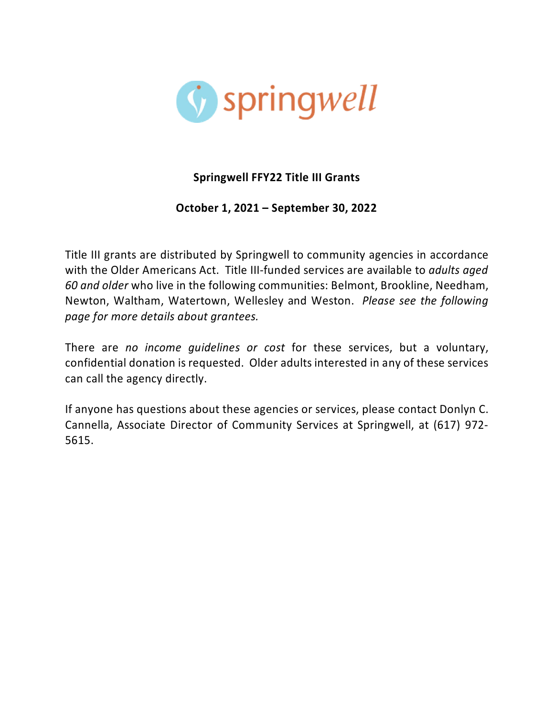

# **Springwell FFY22 Title III Grants**

## **October 1, 2021 – September 30, 2022**

Title III grants are distributed by Springwell to community agencies in accordance with the Older Americans Act. Title III-funded services are available to *adults aged 60 and older* who live in the following communities: Belmont, Brookline, Needham, Newton, Waltham, Watertown, Wellesley and Weston. *Please see the following page for more details about grantees.*

There are *no income guidelines or cost* for these services, but a voluntary, confidential donation is requested. Older adults interested in any of these services can call the agency directly.

If anyone has questions about these agencies or services, please contact Donlyn C. Cannella, Associate Director of Community Services at Springwell, at (617) 972- 5615.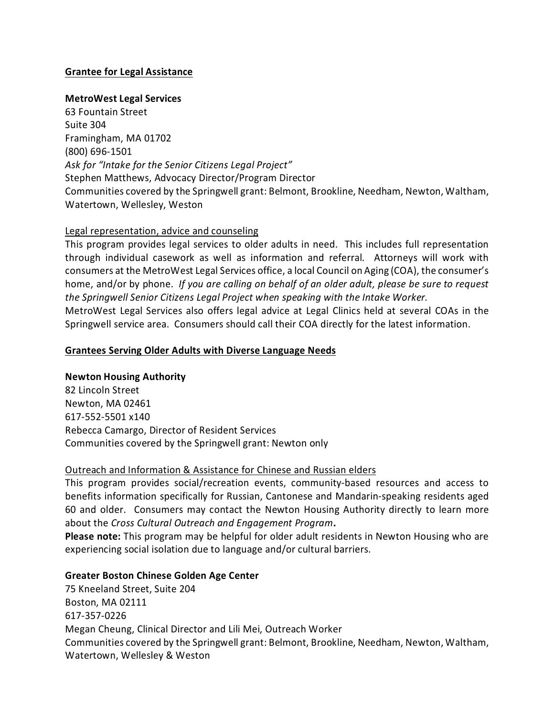## **Grantee for Legal Assistance**

### **MetroWest Legal Services**

63 Fountain Street Suite 304 Framingham, MA 01702 (800) 696-1501 *Ask for "Intake for the Senior Citizens Legal Project"* Stephen Matthews, Advocacy Director/Program Director Communities covered by the Springwell grant: Belmont, Brookline, Needham, Newton, Waltham, Watertown, Wellesley, Weston

#### Legal representation, advice and counseling

This program provides legal services to older adults in need. This includes full representation through individual casework as well as information and referral. Attorneys will work with consumers at the MetroWest Legal Services office, a local Council on Aging (COA), the consumer's home, and/or by phone. *If you are calling on behalf of an older adult, please be sure to request the Springwell Senior Citizens Legal Project when speaking with the Intake Worker.*

MetroWest Legal Services also offers legal advice at Legal Clinics held at several COAs in the Springwell service area. Consumers should call their COA directly for the latest information.

#### **Grantees Serving Older Adults with Diverse Language Needs**

### **Newton Housing Authority**

82 Lincoln Street Newton, MA 02461 617-552-5501 x140 Rebecca Camargo, Director of Resident Services Communities covered by the Springwell grant: Newton only

#### Outreach and Information & Assistance for Chinese and Russian elders

This program provides social/recreation events, community-based resources and access to benefits information specifically for Russian, Cantonese and Mandarin-speaking residents aged 60 and older. Consumers may contact the Newton Housing Authority directly to learn more about the *Cross Cultural Outreach and Engagement Program***.** 

**Please note:** This program may be helpful for older adult residents in Newton Housing who are experiencing social isolation due to language and/or cultural barriers.

### **Greater Boston Chinese Golden Age Center**

75 Kneeland Street, Suite 204 Boston, MA 02111 617-357-0226 Megan Cheung, Clinical Director and Lili Mei, Outreach Worker Communities covered by the Springwell grant: Belmont, Brookline, Needham, Newton, Waltham, Watertown, Wellesley & Weston